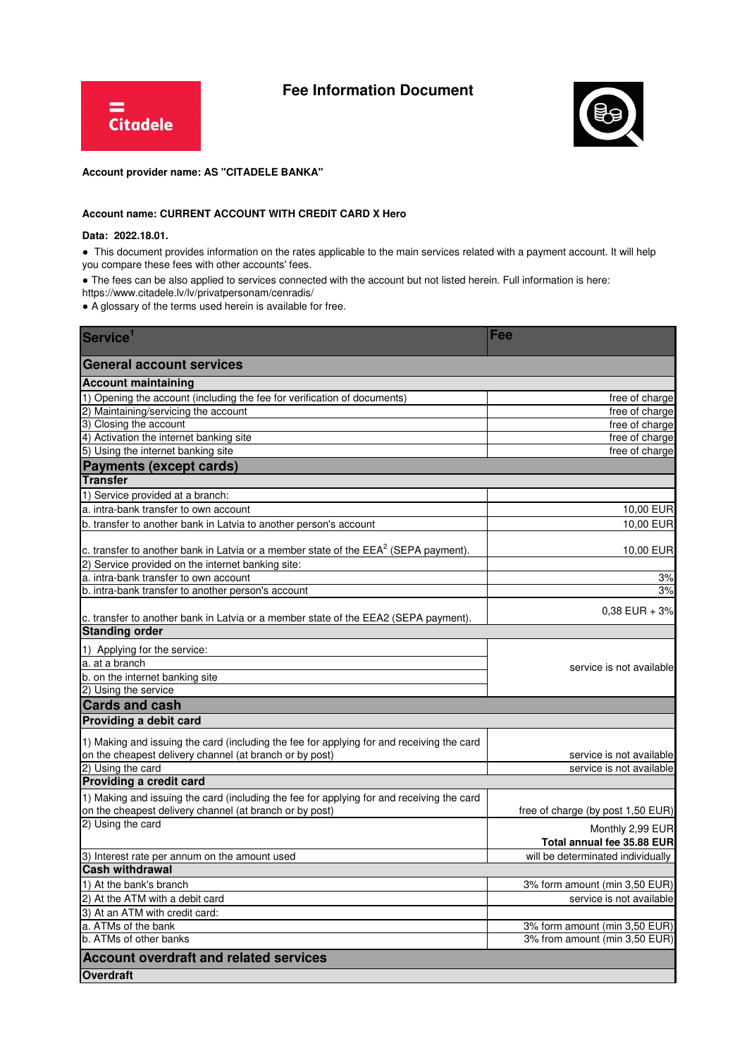

## **Fee Information Document**



## **Account provider name: AS "CITADELE BANKA"**

## **Account name: CURRENT ACCOUNT WITH CREDIT CARD X Hero**

## **Data: 2022.18.01.**

● This document provides information on the rates applicable to the main services related with a payment account. It will help you compare these fees with other accounts' fees.

• The fees can be also applied to services connected with the account but not listed herein. Full information is here:

https://www.citadele.lv/lv/privatpersonam/cenradis/

● A glossary of the terms used herein is available for free.

| Service <sup>1</sup>                                                                                                                                 | Fee                               |
|------------------------------------------------------------------------------------------------------------------------------------------------------|-----------------------------------|
| <b>General account services</b>                                                                                                                      |                                   |
| <b>Account maintaining</b>                                                                                                                           |                                   |
| 1) Opening the account (including the fee for verification of documents)                                                                             | free of charge                    |
| 2) Maintaining/servicing the account                                                                                                                 | free of charge                    |
| 3) Closing the account                                                                                                                               | free of charge                    |
| 4) Activation the internet banking site                                                                                                              | free of charge                    |
| 5) Using the internet banking site                                                                                                                   | free of charge                    |
| <b>Payments (except cards)</b>                                                                                                                       |                                   |
| <b>Transfer</b>                                                                                                                                      |                                   |
| 1) Service provided at a branch:                                                                                                                     |                                   |
| a. intra-bank transfer to own account                                                                                                                | 10,00 EUR                         |
| b. transfer to another bank in Latvia to another person's account                                                                                    | 10,00 EUR                         |
| c. transfer to another bank in Latvia or a member state of the $EEA^2$ (SEPA payment).                                                               | 10,00 EUR                         |
| 2) Service provided on the internet banking site:                                                                                                    |                                   |
| a. intra-bank transfer to own account                                                                                                                | 3%                                |
| b. intra-bank transfer to another person's account                                                                                                   | 3%                                |
|                                                                                                                                                      |                                   |
| c. transfer to another bank in Latvia or a member state of the EEA2 (SEPA payment).                                                                  | $0,38$ EUR + $3%$                 |
| <b>Standing order</b>                                                                                                                                |                                   |
| 1) Applying for the service:                                                                                                                         |                                   |
| a. at a branch                                                                                                                                       |                                   |
| b. on the internet banking site                                                                                                                      | service is not available          |
| 2) Using the service                                                                                                                                 |                                   |
| <b>Cards and cash</b>                                                                                                                                |                                   |
| Providing a debit card                                                                                                                               |                                   |
|                                                                                                                                                      |                                   |
| 1) Making and issuing the card (including the fee for applying for and receiving the card<br>on the cheapest delivery channel (at branch or by post) | service is not available          |
| 2) Using the card                                                                                                                                    | service is not available          |
| Providing a credit card                                                                                                                              |                                   |
| 1) Making and issuing the card (including the fee for applying for and receiving the card                                                            |                                   |
| on the cheapest delivery channel (at branch or by post)                                                                                              | free of charge (by post 1,50 EUR) |
| 2) Using the card                                                                                                                                    |                                   |
|                                                                                                                                                      | Monthly 2,99 EUR                  |
|                                                                                                                                                      | Total annual fee 35.88 EUR        |
| 3) Interest rate per annum on the amount used<br><b>Cash withdrawal</b>                                                                              | will be determinated individually |
|                                                                                                                                                      |                                   |
| 1) At the bank's branch                                                                                                                              | 3% form amount (min 3,50 EUR)     |
| 2) At the ATM with a debit card                                                                                                                      | service is not available          |
| 3) At an ATM with credit card:                                                                                                                       |                                   |
| a. ATMs of the bank                                                                                                                                  | 3% form amount (min 3,50 EUR)     |
| b. ATMs of other banks                                                                                                                               | 3% from amount (min 3,50 EUR)     |
| <b>Account overdraft and related services</b>                                                                                                        |                                   |
| <b>Overdraft</b>                                                                                                                                     |                                   |